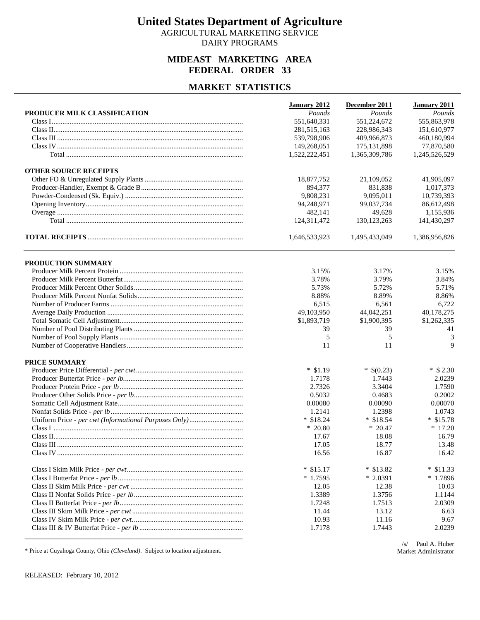AGRICULTURAL MARKETING SERVICE DAIRY PROGRAMS

## **MIDEAST MARKETING AREA FEDERAL ORDER 33**

#### **MARKET STATISTICS**

|                              | January 2012  | December 2011 | January 2011  |
|------------------------------|---------------|---------------|---------------|
| PRODUCER MILK CLASSIFICATION | Pounds        | Pounds        | Pounds        |
|                              | 551,640,331   | 551,224,672   | 555,863,978   |
|                              | 281,515,163   | 228,986,343   | 151,610,977   |
|                              | 539,798,906   | 409,966,873   | 460,180,994   |
|                              | 149,268,051   | 175, 131, 898 | 77,870,580    |
|                              | 1,522,222,451 | 1,365,309,786 | 1,245,526,529 |
| <b>OTHER SOURCE RECEIPTS</b> |               |               |               |
|                              | 18,877,752    | 21,109,052    | 41,905,097    |
|                              | 894,377       | 831,838       | 1,017,373     |
|                              | 9,808,231     | 9,095,011     | 10,739,393    |
|                              | 94,248,971    | 99,037,734    | 86,612,498    |
|                              | 482,141       | 49,628        | 1,155,936     |
|                              | 124,311,472   | 130, 123, 263 | 141,430,297   |
|                              | 1,646,533,923 | 1,495,433,049 | 1,386,956,826 |
| PRODUCTION SUMMARY           |               |               |               |
|                              | 3.15%         | 3.17%         | 3.15%         |
|                              | 3.78%         | 3.79%         | 3.84%         |
|                              | 5.73%         | 5.72%         | 5.71%         |
|                              | 8.88%         | 8.89%         | 8.86%         |
|                              | 6,515         | 6,561         | 6,722         |
|                              | 49,103,950    | 44,042,251    | 40,178,275    |
|                              | \$1,893,719   | \$1,900,395   | \$1,262,335   |
|                              | 39            | 39            | 41            |
|                              | 5             | 5             | 3             |
|                              | 11            | 11            | 9             |
|                              |               |               |               |
| PRICE SUMMARY                |               |               |               |
|                              | $*$ \$1.19    | $*$ \$(0.23)  | $*$ \$ 2.30   |
|                              | 1.7178        | 1.7443        | 2.0239        |
|                              | 2.7326        | 3.3404        | 1.7590        |
|                              | 0.5032        | 0.4683        | 0.2002        |
|                              | 0.00080       | 0.00090       | 0.00070       |
|                              | 1.2141        | 1.2398        | 1.0743        |
|                              | $*$ \$18.24   | $*$ \$18.54   | $*$ \$15.78   |
|                              | $*20.80$      | $*20.47$      | $*17.20$      |
|                              | 17.67         | 18.08         | 16.79         |
|                              | 17.05         | 18.77         | 13.48         |
|                              | 16.56         | 16.87         | 16.42         |
|                              | $*$ \$15.17   | $*$ \$13.82   | $*$ \$11.33   |
|                              | $*1.7595$     | $*2.0391$     | $*1.7896$     |
|                              | 12.05         | 12.38         | 10.03         |
|                              | 1.3389        | 1.3756        | 1.1144        |
|                              | 1.7248        | 1.7513        | 2.0309        |
|                              | 11.44         | 13.12         | 6.63          |
|                              | 10.93         | 11.16         | 9.67          |
|                              | 1.7178        | 1.7443        | 2.0239        |
|                              |               |               |               |

\* Price at Cuyahoga County, Ohio *(Cleveland)*. Subject to location adjustment.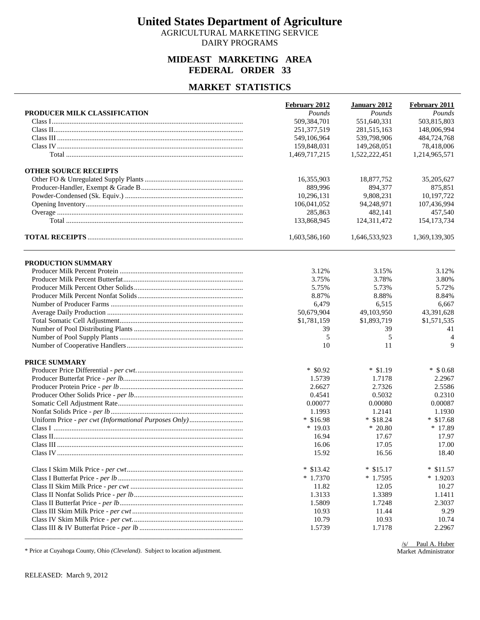AGRICULTURAL MARKETING SERVICE DAIRY PROGRAMS

## **MIDEAST MARKETING AREA FEDERAL ORDER 33**

#### **MARKET STATISTICS**

|                              | February 2012 | <b>January 2012</b> | February 2011 |
|------------------------------|---------------|---------------------|---------------|
| PRODUCER MILK CLASSIFICATION | Pounds        | Pounds              | Pounds        |
|                              | 509,384,701   | 551,640,331         | 503,815,803   |
|                              | 251,377,519   | 281,515,163         | 148,006,994   |
|                              | 549,106,964   | 539,798,906         | 484,724,768   |
|                              | 159,848,031   | 149,268,051         | 78,418,006    |
|                              | 1,469,717,215 | 1,522,222,451       | 1,214,965,571 |
| <b>OTHER SOURCE RECEIPTS</b> |               |                     |               |
|                              | 16,355,903    | 18,877,752          | 35,205,627    |
|                              | 889,996       | 894,377             | 875,851       |
|                              | 10,296,131    | 9.808.231           | 10,197,722    |
|                              | 106,041,052   | 94,248,971          | 107,436,994   |
|                              | 285,863       | 482,141             | 457,540       |
|                              | 133,868,945   | 124,311,472         | 154, 173, 734 |
|                              | 1,603,586,160 | 1,646,533,923       | 1,369,139,305 |
| PRODUCTION SUMMARY           |               |                     |               |
|                              | 3.12%         | 3.15%               | 3.12%         |
|                              | 3.75%         | 3.78%               | 3.80%         |
|                              | 5.75%         | 5.73%               | 5.72%         |
|                              | 8.87%         | 8.88%               | 8.84%         |
|                              | 6,479         | 6,515               | 6,667         |
|                              | 50,679,904    | 49,103,950          | 43,391,628    |
|                              | \$1,781,159   | \$1,893,719         | \$1,571,535   |
|                              | 39            | 39                  | 41            |
|                              | 5             | 5                   | 4             |
|                              | 10            | 11                  | 9             |
| PRICE SUMMARY                |               |                     |               |
|                              | $*$ \$0.92    | $*$ \$1.19          | $*$ \$ 0.68   |
|                              | 1.5739        | 1.7178              | 2.2967        |
|                              | 2.6627        | 2.7326              | 2.5586        |
|                              | 0.4541        | 0.5032              | 0.2310        |
|                              | 0.00077       | 0.00080             | 0.00087       |
|                              | 1.1993        | 1.2141              | 1.1930        |
|                              | $*$ \$16.98   | $*$ \$18.24         | $*$ \$17.68   |
|                              | $*19.03$      | $*20.80$            | * 17.89       |
|                              | 16.94         | 17.67               | 17.97         |
|                              | 16.06         | 17.05               | 17.00         |
|                              | 15.92         | 16.56               | 18.40         |
|                              | $*$ \$13.42   | $*$ \$15.17         | $*$ \$11.57   |
|                              | $*1.7370$     | $*1.7595$           | $*1.9203$     |
|                              | 11.82         | 12.05               | 10.27         |
|                              | 1.3133        | 1.3389              | 1.1411        |
|                              | 1.5809        | 1.7248              | 2.3037        |
|                              | 10.93         | 11.44               | 9.29          |
|                              | 10.79         | 10.93               | 10.74         |
|                              | 1.5739        | 1.7178              | 2.2967        |

\* Price at Cuyahoga County, Ohio *(Cleveland)*. Subject to location adjustment.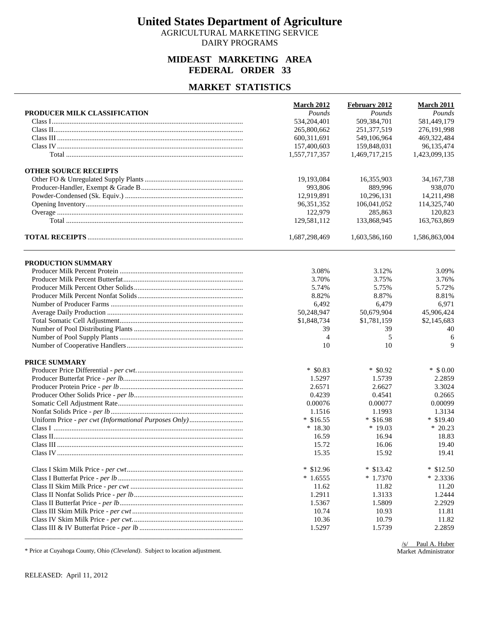AGRICULTURAL MARKETING SERVICE DAIRY PROGRAMS

## **MIDEAST MARKETING AREA FEDERAL ORDER 33**

#### **MARKET STATISTICS**

|                              | <b>March 2012</b>     | February 2012 | <b>March 2011</b> |
|------------------------------|-----------------------|---------------|-------------------|
| PRODUCER MILK CLASSIFICATION | Pounds<br>534,204,401 | Pounds        | Pounds            |
|                              |                       | 509,384,701   | 581,449,179       |
|                              | 265,800,662           | 251, 377, 519 | 276,191,998       |
|                              | 600,311,691           | 549,106,964   | 469, 322, 484     |
|                              | 157,400,603           | 159,848,031   | 96,135,474        |
|                              | 1,557,717,357         | 1,469,717,215 | 1,423,099,135     |
| <b>OTHER SOURCE RECEIPTS</b> |                       |               |                   |
|                              | 19,193,084            | 16,355,903    | 34, 167, 738      |
|                              | 993,806               | 889,996       | 938,070           |
|                              | 12,919,891            | 10,296,131    | 14,211,498        |
|                              | 96,351,352            | 106,041,052   | 114,325,740       |
|                              | 122,979               | 285,863       | 120,823           |
|                              | 129,581,112           | 133,868,945   | 163,763,869       |
|                              | 1,687,298,469         | 1,603,586,160 | 1,586,863,004     |
| PRODUCTION SUMMARY           |                       |               |                   |
|                              | 3.08%                 | 3.12%         | 3.09%             |
|                              | 3.70%                 | 3.75%         | 3.76%             |
|                              | 5.74%                 | 5.75%         | 5.72%             |
|                              | 8.82%                 | 8.87%         | 8.81%             |
|                              | 6,492                 | 6,479         | 6,971             |
|                              | 50,248,947            | 50,679,904    | 45,906,424        |
|                              | \$1,848,734           | \$1,781,159   | \$2,145,683       |
|                              | 39                    | 39            | 40                |
|                              | 4                     | 5             | 6                 |
|                              | 10                    | 10            | 9                 |
| PRICE SUMMARY                |                       |               |                   |
|                              | $*$ \$0.83            | $*$ \$0.92    | $*$ \$ 0.00       |
|                              | 1.5297                | 1.5739        | 2.2859            |
|                              | 2.6571                | 2.6627        | 3.3024            |
|                              | 0.4239                | 0.4541        | 0.2665            |
|                              | 0.00076               | 0.00077       | 0.00099           |
|                              | 1.1516                | 1.1993        | 1.3134            |
|                              | $*$ \$16.55           | $*$ \$16.98   | $*$ \$19.40       |
|                              | $*18.30$              | $*19.03$      | $*20.23$          |
|                              | 16.59                 | 16.94         | 18.83             |
|                              | 15.72                 | 16.06         | 19.40             |
|                              | 15.35                 | 15.92         | 19.41             |
|                              | $*$ \$12.96           | $*$ \$13.42   | $*$ \$12.50       |
|                              | $*1.6555$             | $*1.7370$     | $*2.3336$         |
|                              | 11.62                 | 11.82         | 11.20             |
|                              | 1.2911                | 1.3133        | 1.2444            |
|                              | 1.5367                | 1.5809        | 2.2929            |
|                              | 10.74                 | 10.93         | 11.81             |
|                              | 10.36                 | 10.79         | 11.82             |
|                              | 1.5297                | 1.5739        | 2.2859            |

\* Price at Cuyahoga County, Ohio *(Cleveland)*. Subject to location adjustment.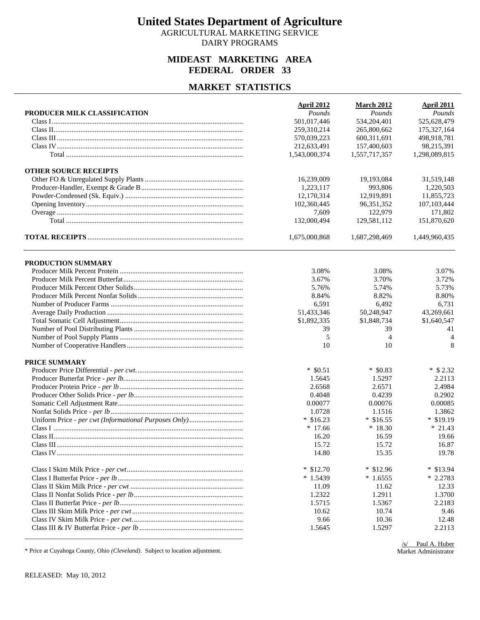AGRICULTURAL MARKETING SERVICE DAIRY PROGRAMS

## **MIDEAST MARKETING AREA FEDERAL ORDER 33**

#### **MARKET STATISTICS**

|                              | <b>April 2012</b>     | <b>March 2012</b> | <b>April 2011</b> |
|------------------------------|-----------------------|-------------------|-------------------|
| PRODUCER MILK CLASSIFICATION | Pounds<br>501,017,446 | Pounds            | Pounds            |
|                              |                       | 534,204,401       | 525,628,479       |
|                              | 259,310,214           | 265,800,662       | 175,327,164       |
|                              | 570,039,223           | 600,311,691       | 498,918,781       |
|                              | 212,633,491           | 157,400,603       | 98,215,391        |
|                              | 1,543,000,374         | 1,557,717,357     | 1,298,089,815     |
| <b>OTHER SOURCE RECEIPTS</b> |                       |                   |                   |
|                              | 16,239,009            | 19,193,084        | 31,519,148        |
|                              | 1,223,117             | 993,806           | 1,220,503         |
|                              | 12,170,314            | 12,919,891        | 11.855.723        |
|                              | 102,360,445           | 96, 351, 352      | 107,103,444       |
|                              | 7,609                 | 122,979           | 171,802           |
|                              | 132,000,494           | 129,581,112       | 151,870,620       |
|                              | 1,675,000,868         | 1,687,298,469     | 1,449,960,435     |
| PRODUCTION SUMMARY           |                       |                   |                   |
|                              | 3.08%                 | 3.08%             | 3.07%             |
|                              | 3.67%                 | 3.70%             | 3.72%             |
|                              | 5.76%                 | 5.74%             | 5.73%             |
|                              | 8.84%                 | 8.82%             | 8.80%             |
|                              | 6,591                 | 6,492             | 6,731             |
|                              | 51,433,346            | 50,248,947        | 43,269,661        |
|                              | \$1,892,335           | \$1,848,734       | \$1,640,547       |
|                              | 39                    | 39                | 41                |
|                              | 5                     | $\overline{4}$    | 4                 |
|                              | 10                    | 10                | 8                 |
|                              |                       |                   |                   |
| PRICE SUMMARY                |                       |                   |                   |
|                              | $*$ \$0.51            | $*$ \$0.83        | $*$ \$ 2.32       |
|                              | 1.5645                | 1.5297            | 2.2113            |
|                              | 2.6568                | 2.6571            | 2.4984            |
|                              | 0.4048                | 0.4239            | 0.2902            |
|                              | 0.00077               | 0.00076           | 0.00085           |
|                              | 1.0728                | 1.1516            | 1.3862            |
|                              | $*$ \$16.23           | $*$ \$16.55       | $*$ \$19.19       |
|                              | $*17.66$              | $*18.30$          | $* 21.43$         |
|                              | 16.20                 | 16.59             | 19.66             |
|                              | 15.72                 | 15.72             | 16.87             |
|                              | 14.80                 | 15.35             | 19.78             |
|                              | $*$ \$12.70           | $*$ \$12.96       | $*$ \$13.94       |
|                              | $*1.5439$             | $*1.6555$         | $*2.2783$         |
|                              | 11.09                 | 11.62             | 12.33             |
|                              | 1.2322                | 1.2911            | 1.3700            |
|                              | 1.5715                | 1.5367            | 2.2183            |
|                              | 10.62                 | 10.74             | 9.46              |
|                              | 9.66                  | 10.36             | 12.48             |
|                              | 1.5645                | 1.5297            | 2.2113            |
|                              |                       |                   |                   |

\* Price at Cuyahoga County, Ohio *(Cleveland)*. Subject to location adjustment.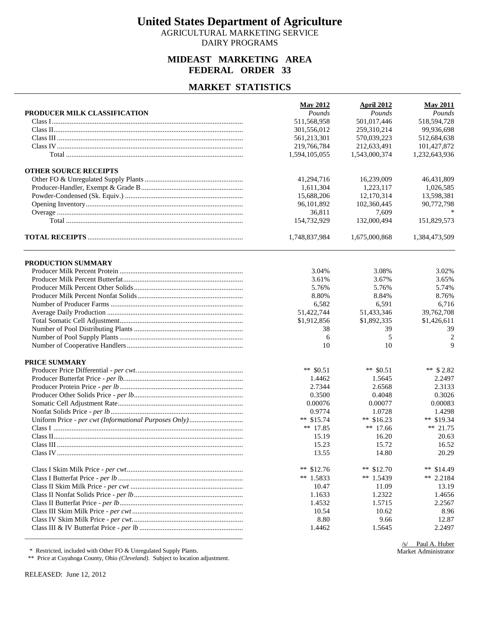AGRICULTURAL MARKETING SERVICE DAIRY PROGRAMS

## **MIDEAST MARKETING AREA FEDERAL ORDER 33**

#### **MARKET STATISTICS**

|                              | <b>May 2012</b>              | <b>April 2012</b><br>Pounds  | <b>May 2011</b>              |
|------------------------------|------------------------------|------------------------------|------------------------------|
| PRODUCER MILK CLASSIFICATION | Pounds                       | 501,017,446                  | Pounds<br>518,594,728        |
|                              | 511,568,958                  | 259,310,214                  | 99,936,698                   |
|                              | 301,556,012                  | 570,039,223                  |                              |
|                              | 561,213,301                  |                              | 512,684,638                  |
|                              | 219,766,784<br>1,594,105,055 | 212,633,491<br>1,543,000,374 | 101,427,872<br>1,232,643,936 |
|                              |                              |                              |                              |
| <b>OTHER SOURCE RECEIPTS</b> |                              |                              |                              |
|                              | 41,294,716                   | 16,239,009                   | 46,431,809                   |
|                              | 1,611,304                    | 1,223,117                    | 1,026,585                    |
|                              | 15,688,206                   | 12,170,314                   | 13,598,381                   |
|                              | 96,101,892                   | 102,360,445                  | 90,772,798                   |
|                              | 36,811                       | 7,609                        |                              |
|                              | 154,732,929                  | 132,000,494                  | 151,829,573                  |
|                              | 1,748,837,984                | 1,675,000,868                | 1,384,473,509                |
| PRODUCTION SUMMARY           |                              |                              |                              |
|                              | 3.04%                        | 3.08%                        | 3.02%                        |
|                              | 3.61%                        | 3.67%                        | 3.65%                        |
|                              | 5.76%                        | 5.76%                        | 5.74%                        |
|                              | 8.80%                        | 8.84%                        | 8.76%                        |
|                              | 6,582                        | 6,591                        | 6,716                        |
|                              | 51,422,744                   | 51,433,346                   | 39,762,708                   |
|                              | \$1,912,856                  | \$1,892,335                  | \$1,426,611                  |
|                              | 38                           | 39                           | 39                           |
|                              | 6                            | 5                            | $\overline{c}$               |
|                              | 10                           | 10                           | $\mathbf Q$                  |
| PRICE SUMMARY                |                              |                              |                              |
|                              | ** $$0.51$                   | ** $$0.51$                   | ** $$2.82$                   |
|                              | 1.4462                       | 1.5645                       | 2.2497                       |
|                              | 2.7344                       | 2.6568                       | 2.3133                       |
|                              | 0.3500                       | 0.4048                       | 0.3026                       |
|                              | 0.00076                      | 0.00077                      | 0.00083                      |
|                              | 0.9774                       | 1.0728                       | 1.4298                       |
|                              | ** $$15.74$                  | ** $$16.23$                  | ** $$19.34$                  |
|                              | ** $17.85$                   | ** $17.66$                   | $** 21.75$                   |
|                              | 15.19                        | 16.20                        | 20.63                        |
|                              | 15.23                        | 15.72                        | 16.52                        |
|                              | 13.55                        | 14.80                        | 20.29                        |
|                              | ** $$12.76$                  | ** $$12.70$                  | ** $$14.49$                  |
|                              | ** 1.5833                    | ** $1.5439$                  | ** $2.2184$                  |
|                              | 10.47                        | 11.09                        | 13.19                        |
|                              | 1.1633                       | 1.2322                       | 1.4656                       |
|                              | 1.4532                       | 1.5715                       | 2.2567                       |
|                              | 10.54                        | 10.62                        | 8.96                         |
|                              | 8.80                         | 9.66                         | 12.87                        |
|                              | 1.4462                       | 1.5645                       | 2.2497                       |
|                              |                              |                              |                              |

\* Restricted, included with Other FO & Unregulated Supply Plants.

\*\* Price at Cuyahoga County, Ohio *(Cleveland)*. Subject to location adjustment.

RELEASED: June 12, 2012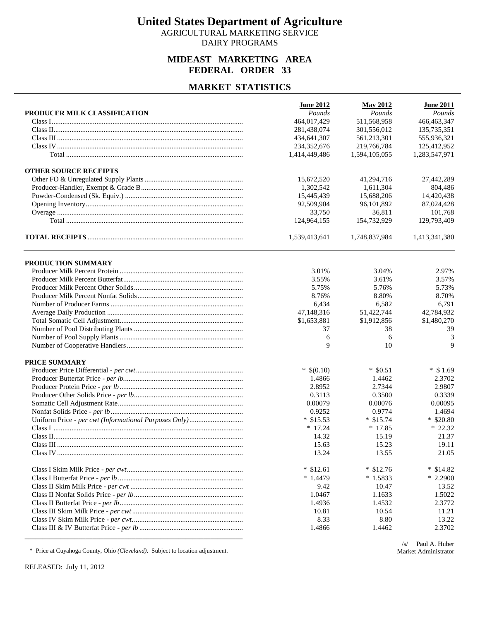AGRICULTURAL MARKETING SERVICE DAIRY PROGRAMS

## **MIDEAST MARKETING AREA FEDERAL ORDER 33**

#### **MARKET STATISTICS**

|                              | <b>June 2012</b> | <b>May 2012</b> | <b>June 2011</b> |
|------------------------------|------------------|-----------------|------------------|
| PRODUCER MILK CLASSIFICATION | Pounds           | Pounds          | Pounds           |
|                              | 464,017,429      | 511,568,958     | 466, 463, 347    |
|                              | 281,438,074      | 301,556,012     | 135,735,351      |
|                              | 434,641,307      | 561,213,301     | 555,936,321      |
|                              | 234,352,676      | 219,766,784     | 125,412,952      |
|                              | 1,414,449,486    | 1,594,105,055   | 1,283,547,971    |
| <b>OTHER SOURCE RECEIPTS</b> |                  |                 |                  |
|                              | 15,672,520       | 41,294,716      | 27,442,289       |
|                              | 1,302,542        | 1,611,304       | 804,486          |
|                              | 15,445,439       | 15,688,206      | 14,420,438       |
|                              | 92,509,904       | 96,101,892      | 87,024,428       |
|                              | 33,750           | 36,811          | 101,768          |
|                              | 124,964,155      | 154,732,929     | 129,793,409      |
|                              | 1,539,413,641    | 1,748,837,984   | 1,413,341,380    |
| PRODUCTION SUMMARY           |                  |                 |                  |
|                              | 3.01%            | 3.04%           | 2.97%            |
|                              | 3.55%            | 3.61%           | 3.57%            |
|                              | 5.75%            | 5.76%           | 5.73%            |
|                              | 8.76%            | 8.80%           | 8.70%            |
|                              | 6,434            | 6,582           | 6,791            |
|                              | 47,148,316       | 51,422,744      | 42,784,932       |
|                              | \$1,653,881      | \$1,912,856     | \$1,480,270      |
|                              | 37               | 38              | 39               |
|                              | 6                | 6               | 3                |
|                              | 9                | 10              | 9                |
|                              |                  |                 |                  |
| PRICE SUMMARY                |                  |                 |                  |
|                              | $*$ \$(0.10)     | $*$ \$0.51      | $*$ \$1.69       |
|                              | 1.4866           | 1.4462          | 2.3702           |
|                              | 2.8952           | 2.7344          | 2.9807           |
|                              | 0.3113           | 0.3500          | 0.3339           |
|                              | 0.00079          | 0.00076         | 0.00095          |
|                              | 0.9252           | 0.9774          | 1.4694           |
|                              | $*$ \$15.53      | $*$ \$15.74     | $*$ \$20.80      |
|                              | $*17.24$         | $*17.85$        | $*22.32$         |
|                              | 14.32            | 15.19           | 21.37            |
|                              | 15.63            | 15.23           | 19.11            |
|                              | 13.24            | 13.55           | 21.05            |
|                              | $*$ \$12.61      | $*$ \$12.76     | $*$ \$14.82      |
|                              | $*1.4479$        | $*1.5833$       | $*2.2900$        |
|                              | 9.42             | 10.47           | 13.52            |
|                              | 1.0467           | 1.1633          | 1.5022           |
|                              | 1.4936           | 1.4532          | 2.3772           |
|                              | 10.81            | 10.54           | 11.21            |
|                              | 8.33             | 8.80            | 13.22            |
|                              | 1.4866           | 1.4462          | 2.3702           |
|                              |                  |                 |                  |

\* Price at Cuyahoga County, Ohio *(Cleveland)*. Subject to location adjustment.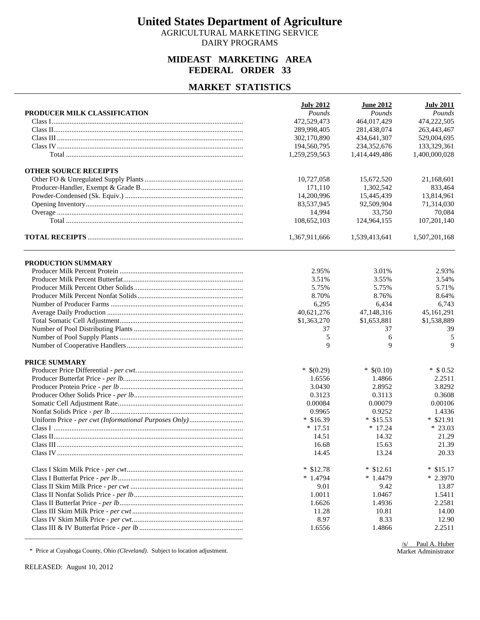AGRICULTURAL MARKETING SERVICE DAIRY PROGRAMS

## **MIDEAST MARKETING AREA FEDERAL ORDER 33**

#### **MARKET STATISTICS**

|                              | <b>July 2012</b> | <b>June 2012</b> | <b>July 2011</b> |
|------------------------------|------------------|------------------|------------------|
| PRODUCER MILK CLASSIFICATION | Pounds           | Pounds           | Pounds           |
|                              | 472,529,473      | 464,017,429      | 474,222,505      |
|                              | 289,998,405      | 281,438,074      | 263,443,467      |
|                              | 302,170,890      | 434,641,307      | 529,004,695      |
|                              | 194,560,795      | 234,352,676      | 133,329,361      |
|                              | 1,259,259,563    | 1,414,449,486    | 1,400,000,028    |
| <b>OTHER SOURCE RECEIPTS</b> |                  |                  |                  |
|                              | 10,727,058       | 15,672,520       | 21,168,601       |
|                              | 171,110          | 1,302,542        | 833,464          |
|                              | 14,200,996       | 15,445,439       | 13,814,961       |
|                              | 83,537,945       | 92,509,904       | 71,314,030       |
|                              | 14,994           | 33,750           | 70,084           |
|                              | 108,652,103      | 124,964,155      | 107,201,140      |
|                              | 1,367,911,666    | 1,539,413,641    | 1,507,201,168    |
| PRODUCTION SUMMARY           |                  |                  |                  |
|                              | 2.95%            | 3.01%            | 2.93%            |
|                              | 3.51%            | 3.55%            | 3.54%            |
|                              | 5.75%            | 5.75%            | 5.71%            |
|                              | 8.70%            | 8.76%            | 8.64%            |
|                              | 6,295            | 6,434            | 6,743            |
|                              | 40,621,276       | 47,148,316       | 45,161,291       |
|                              | \$1,363,270      | \$1,653,881      | \$1,538,889      |
|                              | 37               | 37               | 39               |
|                              | 5                | 6                | 5                |
|                              | 9                | 9                | 9                |
| PRICE SUMMARY                |                  |                  |                  |
|                              | $*$ \$(0.29)     | $*$ \$(0.10)     | $*$ \$ 0.52      |
|                              | 1.6556           | 1.4866           | 2.2511           |
|                              | 3.0430           | 2.8952           | 3.8292           |
|                              | 0.3123           | 0.3113           | 0.3608           |
|                              | 0.00084          | 0.00079          | 0.00106          |
|                              | 0.9965           | 0.9252           | 1.4336           |
|                              | $*$ \$16.39      | $*$ \$15.53      | $*$ \$21.91      |
|                              | $*17.51$         | $*17.24$         | $* 23.03$        |
|                              | 14.51            | 14.32            | 21.29            |
|                              | 16.68            | 15.63            | 21.39            |
|                              | 14.45            | 13.24            | 20.33            |
|                              | $*$ \$12.78      | $*$ \$12.61      | $*$ \$15.17      |
|                              | $*1.4794$        | $*1.4479$        | $*2.3970$        |
|                              | 9.01             | 9.42             | 13.87            |
|                              | 1.0011           | 1.0467           | 1.5411           |
|                              | 1.6626           | 1.4936           | 2.2581           |
|                              | 11.28            | 10.81            | 14.00            |
|                              | 8.97             | 8.33             | 12.90            |
|                              | 1.6556           | 1.4866           | 2.2511           |
|                              |                  |                  |                  |

\* Price at Cuyahoga County, Ohio *(Cleveland)*. Subject to location adjustment.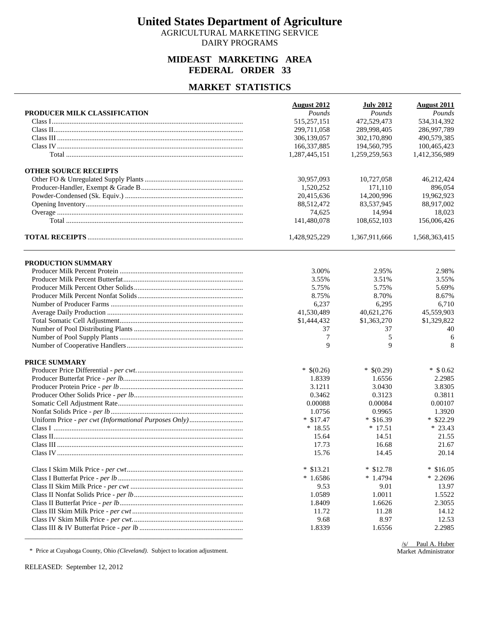AGRICULTURAL MARKETING SERVICE DAIRY PROGRAMS

## **MIDEAST MARKETING AREA FEDERAL ORDER 33**

#### **MARKET STATISTICS**

|                              | <b>August 2012</b>         | <b>July 2012</b> | <b>August 2011</b> |
|------------------------------|----------------------------|------------------|--------------------|
| PRODUCER MILK CLASSIFICATION | Pounds                     | Pounds           | Pounds             |
|                              | 515,257,151<br>299,711,058 | 472,529,473      | 534,314,392        |
|                              |                            | 289,998,405      | 286,997,789        |
|                              | 306,139,057<br>166,337,885 | 302,170,890      | 490,579,385        |
|                              |                            | 194,560,795      | 100,465,423        |
|                              | 1,287,445,151              | 1,259,259,563    | 1,412,356,989      |
| <b>OTHER SOURCE RECEIPTS</b> |                            |                  |                    |
|                              | 30,957,093                 | 10,727,058       | 46,212,424         |
|                              | 1,520,252                  | 171,110          | 896,054            |
|                              | 20,415,636                 | 14,200,996       | 19.962.923         |
|                              | 88,512,472                 | 83,537,945       | 88,917,002         |
|                              | 74,625                     | 14,994           | 18,023             |
|                              | 141,480,078                | 108,652,103      | 156,006,426        |
|                              | 1,428,925,229              | 1,367,911,666    | 1,568,363,415      |
| PRODUCTION SUMMARY           |                            |                  |                    |
|                              | 3.00%                      | 2.95%            | 2.98%              |
|                              | 3.55%                      | 3.51%            | 3.55%              |
|                              | 5.75%                      | 5.75%            | 5.69%              |
|                              | 8.75%                      | 8.70%            | 8.67%              |
|                              | 6,237                      | 6,295            | 6,710              |
|                              | 41,530,489                 | 40,621,276       | 45,559,903         |
|                              | \$1,444,432                | \$1,363,270      | \$1,329,822        |
|                              | 37                         | 37               | 40                 |
|                              | 7                          | 5                | 6                  |
|                              | 9                          | 9                | 8                  |
|                              |                            |                  |                    |
| PRICE SUMMARY                |                            |                  |                    |
|                              | $*$ \$(0.26)               | $*$ \$(0.29)     | $*$ \$ 0.62        |
|                              | 1.8339                     | 1.6556           | 2.2985             |
|                              | 3.1211                     | 3.0430           | 3.8305             |
|                              | 0.3462                     | 0.3123           | 0.3811             |
|                              | 0.00088                    | 0.00084          | 0.00107            |
|                              | 1.0756                     | 0.9965           | 1.3920             |
|                              | $*$ \$17.47                | $*$ \$16.39      | $*$ \$22.29        |
|                              | $*18.55$                   | $*17.51$         | $* 23.43$          |
|                              | 15.64                      | 14.51            | 21.55              |
|                              | 17.73                      | 16.68            | 21.67              |
|                              | 15.76                      | 14.45            | 20.14              |
|                              | $*$ \$13.21                | $*$ \$12.78      | $*$ \$16.05        |
|                              | $*1.6586$                  | $*1.4794$        | $*2.2696$          |
|                              | 9.53                       | 9.01             | 13.97              |
|                              | 1.0589                     | 1.0011           | 1.5522             |
|                              | 1.8409                     | 1.6626           | 2.3055             |
|                              | 11.72                      | 11.28            | 14.12              |
|                              | 9.68                       | 8.97             | 12.53              |
|                              | 1.8339                     | 1.6556           | 2.2985             |
|                              |                            |                  |                    |

\* Price at Cuyahoga County, Ohio *(Cleveland)*. Subject to location adjustment.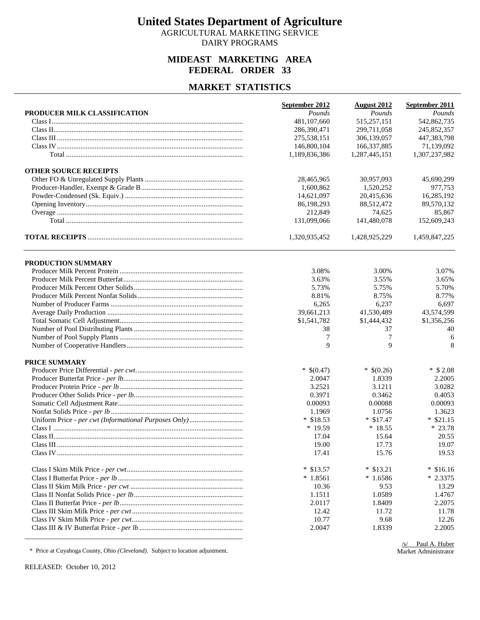AGRICULTURAL MARKETING SERVICE DAIRY PROGRAMS

## **MIDEAST MARKETING AREA FEDERAL ORDER 33**

#### **MARKET STATISTICS**

|                              | September 2012 | <b>August 2012</b> | September 2011    |
|------------------------------|----------------|--------------------|-------------------|
| PRODUCER MILK CLASSIFICATION | Pounds         | Pounds             | Pounds            |
|                              | 481,107,660    | 515,257,151        | 542,862,735       |
|                              | 286,390,471    | 299,711,058        | 245,852,357       |
|                              | 275,538,151    | 306,139,057        | 447,383,798       |
|                              | 146,800,104    | 166,337,885        | 71,139,092        |
|                              | 1,189,836,386  | 1,287,445,151      | 1,307,237,982     |
| <b>OTHER SOURCE RECEIPTS</b> |                |                    |                   |
|                              | 28,465,965     | 30.957.093         | 45,690,299        |
|                              | 1,600,862      | 1,520,252          | 977,753           |
|                              | 14,621,097     | 20,415,636         | 16,285,192        |
|                              | 86,198,293     | 88,512,472         | 89,570,132        |
|                              | 212,849        | 74,625             | 85,867            |
|                              | 131,099,066    | 141,480,078        | 152,609,243       |
|                              | 1,320,935,452  | 1,428,925,229      | 1,459,847,225     |
| PRODUCTION SUMMARY           |                |                    |                   |
|                              | 3.08%          | 3.00%              | 3.07%             |
|                              | 3.63%          | 3.55%              | 3.65%             |
|                              | 5.73%          | 5.75%              | 5.70%             |
|                              | 8.81%          | 8.75%              | 8.77%             |
|                              | 6,265          | 6,237              | 6,697             |
|                              | 39,661,213     | 41,530,489         | 43,574,599        |
|                              | \$1,541,782    | \$1,444,432        | \$1,356,256       |
|                              | 38             | 37                 | 40                |
|                              | 7              | 7                  | 6                 |
|                              | 9              | 9                  | 8                 |
| PRICE SUMMARY                |                |                    |                   |
|                              | $*$ \$(0.47)   | $*$ \$(0.26)       | $*$ \$ 2.08       |
|                              | 2.0047         | 1.8339             | 2.2005            |
|                              | 3.2521         | 3.1211             | 3.0282            |
|                              | 0.3971         | 0.3462             | 0.4053            |
|                              | 0.00093        | 0.00088            | 0.00093           |
|                              | 1.1969         | 1.0756             | 1.3623            |
|                              | $*$ \$18.53    | $*$ \$17.47        | $*$ \$21.15       |
|                              | $*19.59$       | $*18.55$           | $* 23.78$         |
|                              | 17.04          | 15.64              | 20.55             |
|                              | 19.00          | 17.73              | 19.07             |
|                              | 17.41          | 15.76              | 19.53             |
|                              | $*$ \$13.57    | $*$ \$13.21        | $\ast$<br>\$16.16 |
|                              | $*1.8561$      | $*1.6586$          | $*2.3375$         |
|                              | 10.36          | 9.53               | 13.29             |
|                              | 1.1511         | 1.0589             | 1.4767            |
|                              | 2.0117         | 1.8409             | 2.2075            |
|                              | 12.42          | 11.72              | 11.78             |
|                              | 10.77          | 9.68               | 12.26             |
|                              | 2.0047         | 1.8339             | 2.2005            |

\* Price at Cuyahoga County, Ohio *(Cleveland)*. Subject to location adjustment.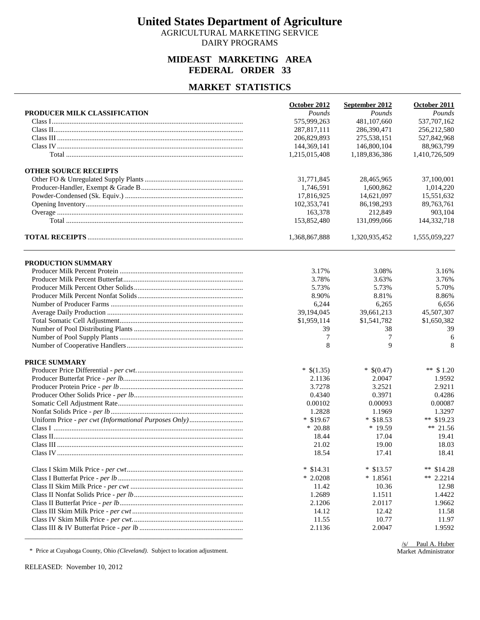AGRICULTURAL MARKETING SERVICE DAIRY PROGRAMS

## **MIDEAST MARKETING AREA FEDERAL ORDER 33**

#### **MARKET STATISTICS**

|                              | October 2012          | September 2012 | October 2011          |
|------------------------------|-----------------------|----------------|-----------------------|
| PRODUCER MILK CLASSIFICATION | Pounds<br>575,999,263 | Pounds         | Pounds<br>537,707,162 |
|                              |                       | 481,107,660    |                       |
|                              | 287,817,111           | 286,390,471    | 256,212,580           |
|                              | 206,829,893           | 275,538,151    | 527,842,968           |
|                              | 144,369,141           | 146,800,104    | 88,963,799            |
|                              | 1,215,015,408         | 1,189,836,386  | 1,410,726,509         |
| <b>OTHER SOURCE RECEIPTS</b> |                       |                |                       |
|                              | 31,771,845            | 28,465,965     | 37,100,001            |
|                              | 1,746,591             | 1,600,862      | 1,014,220             |
|                              | 17,816,925            | 14,621,097     | 15,551,632            |
|                              | 102,353,741           | 86,198,293     | 89,763,761            |
|                              | 163,378               | 212,849        | 903,104               |
|                              | 153,852,480           | 131,099,066    | 144,332,718           |
|                              | 1,368,867,888         | 1,320,935,452  | 1,555,059,227         |
| PRODUCTION SUMMARY           |                       |                |                       |
|                              | 3.17%                 | 3.08%          | 3.16%                 |
|                              | 3.78%                 | 3.63%          | 3.76%                 |
|                              | 5.73%                 | 5.73%          | 5.70%                 |
|                              | 8.90%                 | 8.81%          | 8.86%                 |
|                              | 6,244                 | 6,265          | 6,656                 |
|                              | 39,194,045            | 39,661,213     | 45,507,307            |
|                              | \$1,959,114           | \$1,541,782    | \$1,650,382           |
|                              | 39                    | 38             | 39                    |
|                              | 7                     | 7              | 6                     |
|                              | 8                     | 9              | 8                     |
| PRICE SUMMARY                |                       |                |                       |
|                              | $*$ \$(1.35)          | $*$ \$(0.47)   | ** $$1.20$            |
|                              | 2.1136                | 2.0047         | 1.9592                |
|                              | 3.7278                | 3.2521         | 2.9211                |
|                              | 0.4340                | 0.3971         | 0.4286                |
|                              | 0.00102               | 0.00093        | 0.00087               |
|                              | 1.2828                | 1.1969         | 1.3297                |
|                              | $*$ \$19.67           | $*$ \$18.53    | ** $$19.23$           |
|                              | $*20.88$              | $*19.59$       | ** 21.56              |
|                              | 18.44                 | 17.04          | 19.41                 |
|                              | 21.02                 | 19.00          | 18.03                 |
|                              | 18.54                 | 17.41          | 18.41                 |
|                              | $*$ \$14.31           | $*$ \$13.57    | **<br>\$14.28         |
|                              | $*2.0208$             | $*1.8561$      | ** $2.2214$           |
|                              | 11.42                 | 10.36          | 12.98                 |
|                              | 1.2689                | 1.1511         | 1.4422                |
|                              | 2.1206                | 2.0117         | 1.9662                |
|                              | 14.12                 | 12.42          | 11.58                 |
|                              | 11.55                 | 10.77          | 11.97                 |
|                              | 2.1136                | 2.0047         | 1.9592                |

\* Price at Cuyahoga County, Ohio *(Cleveland)*. Subject to location adjustment.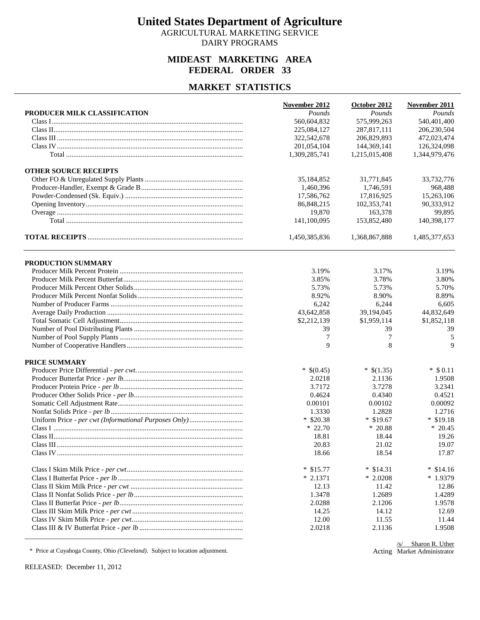AGRICULTURAL MARKETING SERVICE DAIRY PROGRAMS

## **MIDEAST MARKETING AREA FEDERAL ORDER 33**

#### **MARKET STATISTICS**

|                              | November 2012 | October 2012  | November 2011 |
|------------------------------|---------------|---------------|---------------|
| PRODUCER MILK CLASSIFICATION | Pounds        | Pounds        | Pounds        |
|                              | 560,604,832   | 575,999,263   | 540,401,400   |
|                              | 225,084,127   | 287,817,111   | 206,230,504   |
|                              | 322,542,678   | 206,829,893   | 472,023,474   |
|                              | 201,054,104   | 144,369,141   | 126,324,098   |
|                              | 1,309,285,741 | 1,215,015,408 | 1,344,979,476 |
| <b>OTHER SOURCE RECEIPTS</b> |               |               |               |
|                              | 35,184,852    | 31,771,845    | 33,732,776    |
|                              | 1,460,396     | 1,746,591     | 968,488       |
|                              | 17,586,762    | 17,816,925    | 15,263,106    |
|                              | 86,848,215    | 102,353,741   | 90,333,912    |
|                              | 19,870        | 163,378       | 99,895        |
|                              | 141,100,095   | 153,852,480   | 140,398,177   |
|                              | 1,450,385,836 | 1,368,867,888 | 1,485,377,653 |
| PRODUCTION SUMMARY           |               |               |               |
|                              | 3.19%         | 3.17%         | 3.19%         |
|                              | 3.85%         | 3.78%         | 3.80%         |
|                              | 5.73%         | 5.73%         | 5.70%         |
|                              | 8.92%         | 8.90%         | 8.89%         |
|                              | 6,242         | 6,244         | 6,605         |
|                              | 43,642,858    | 39,194,045    | 44,832,649    |
|                              | \$2,212,139   | \$1,959,114   | \$1,852,118   |
|                              | 39            | 39            | 39            |
|                              | 7             | 7             | 5             |
|                              | 9             | 8             | 9             |
| PRICE SUMMARY                |               |               |               |
|                              | $*$ \$(0.45)  | $*$ \$(1.35)  | $*$ \$ 0.11   |
|                              | 2.0218        | 2.1136        | 1.9508        |
|                              | 3.7172        | 3.7278        | 3.2341        |
|                              | 0.4624        | 0.4340        | 0.4521        |
|                              | 0.00101       | 0.00102       | 0.00092       |
|                              | 1.3330        | 1.2828        | 1.2716        |
|                              | $*$ \$20.38   | $*$ \$19.67   | $*$ \$19.18   |
|                              | $*22.70$      | $*20.88$      | $*20.45$      |
|                              | 18.81         | 18.44         | 19.26         |
|                              | 20.83         | 21.02         | 19.07         |
|                              | 18.66         | 18.54         | 17.87         |
|                              | $*$ \$15.77   | $*$ \$14.31   | $*$ \$14.16   |
|                              | $*2.1371$     | $*2.0208$     | $*1.9379$     |
|                              | 12.13         | 11.42         | 12.86         |
|                              | 1.3478        | 1.2689        | 1.4289        |
|                              | 2.0288        | 2.1206        | 1.9578        |
|                              | 14.25         | 14.12         | 12.69         |
|                              | 12.00         | 11.55         | 11.44         |
|                              | 2.0218        | 2.1136        | 1.9508        |
|                              |               |               |               |

\* Price at Cuyahoga County, Ohio *(Cleveland)*. Subject to location adjustment.

Acting Market Administrator/s/ Sharon R. Uther